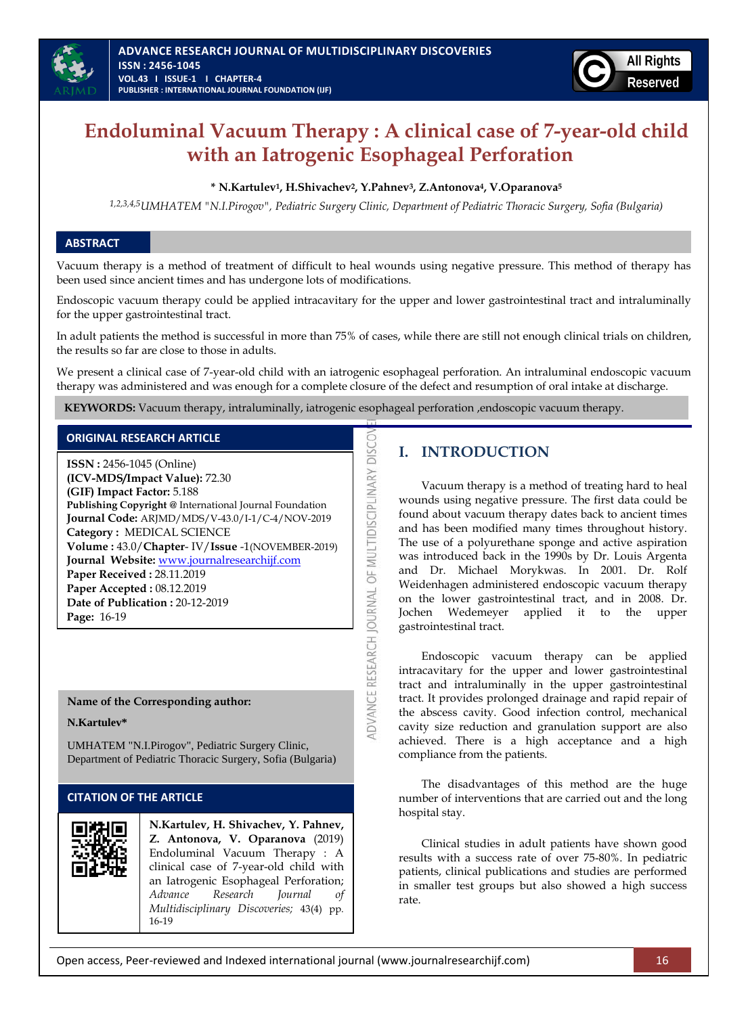

# **Endoluminal Vacuum Therapy : A clinical case of 7-year-old child with an Iatrogenic Esophageal Perforation**

### **\* N.Kartulev1, H.Shivachev2, Y.Pahnev3, Z.Antonova4, V.Oparanova<sup>5</sup>**

*1,2,3,4,5UMHATEM "N.I.Pirogov", Pediatric Surgery Clinic, Department of Pediatric Thoracic Surgery, Sofia (Bulgaria)*

### **ABSTRACT**

Vacuum therapy is a method of treatment of difficult to heal wounds using negative pressure. This method of therapy has been used since ancient times and has undergone lots of modifications.

Endoscopic vacuum therapy could be applied intracavitary for the upper and lower gastrointestinal tract and intraluminally for the upper gastrointestinal tract.

In adult patients the method is successful in more than 75% of cases, while there are still not enough clinical trials on children, the results so far are close to those in adults.

We present a clinical case of 7-year-old child with an iatrogenic esophageal perforation. An intraluminal endoscopic vacuum therapy was administered and was enough for a complete closure of the defect and resumption of oral intake at discharge.

**DISCO** 

DVANCE RESEARCH JOURNAL OF MULTIDISCIPLINARY

**KEYWORDS:** Vacuum therapy, intraluminally, iatrogenic esophageal perforation ,endoscopic vacuum therapy.

### **ORIGINAL RESEARCH ARTICLE**

**ISSN :** 2456-1045 (Online) **(ICV-MDS/Impact Value):** 72.30 **(GIF) Impact Factor:** 5.188 **Publishing Copyright @** International Journal Foundation **Journal Code:** ARJMD/MDS/V-43.0/I-1/C-4/NOV-2019 **Category :** MEDICAL SCIENCE **Volume :** 43.0/**Chapter**- IV/**Issue** -1(NOVEMBER-2019) **Journal Website:** [www.journalresearchijf.com](http://www.journalresearchijf.com/) **Paper Received :** 28.11.2019 **Paper Accepted :** 08.12.2019 **Date of Publication :** 20-12-2019 **Page:** 16-19

#### **Name of the Corresponding author:**

**N.Kartulev\***

UMHATEM "N.I.Pirogov", Pediatric Surgery Clinic, Department of Pediatric Thoracic Surgery, Sofia (Bulgaria)

### **CITATION OF THE ARTICLE**



## **I. INTRODUCTION**

Vacuum therapy is a method of treating hard to heal wounds using negative pressure. The first data could be found about vacuum therapy dates back to ancient times and has been modified many times throughout history. The use of a polyurethane sponge and active aspiration was introduced back in the 1990s by Dr. Louis Argenta and Dr. Michael Morykwas. In 2001. Dr. Rolf Weidenhagen administered endoscopic vacuum therapy on the lower gastrointestinal tract, and in 2008. Dr. Jochen Wedemeyer applied it to the upper gastrointestinal tract.

Endoscopic vacuum therapy can be applied intracavitary for the upper and lower gastrointestinal tract and intraluminally in the upper gastrointestinal tract. It provides prolonged drainage and rapid repair of the abscess cavity. Good infection control, mechanical cavity size reduction and granulation support are also achieved. There is a high acceptance and a high compliance from the patients.

The disadvantages of this method are the huge number of interventions that are carried out and the long hospital stay.

Clinical studies in adult patients have shown good results with a success rate of over 75-80%. In pediatric patients, clinical publications and studies are performed in smaller test groups but also showed a high success rate.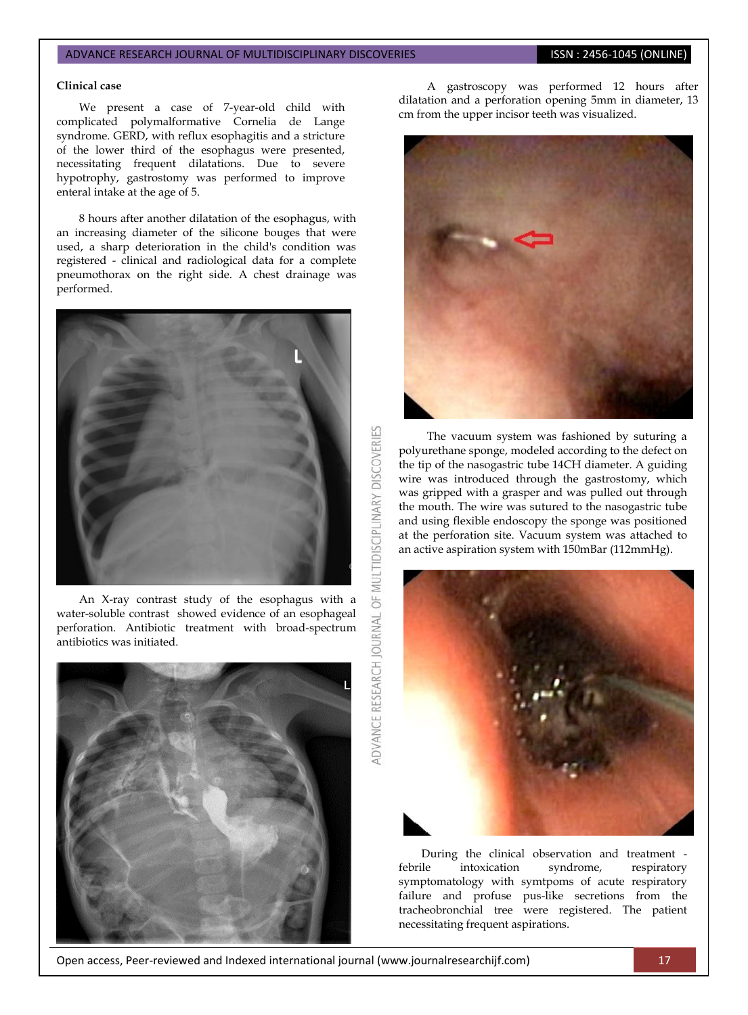#### ADVANCE RESEARCH JOURNAL OF MULTIDISCIPLINARY DISCOVERIES **ISSN : 2456-1045 (ONLINE)**

#### **Clinical case**

We present a case of 7-year-old child with complicated polymalformative Cornelia de Lange syndrome. GERD, with reflux esophagitis and a stricture of the lower third of the esophagus were presented, necessitating frequent dilatations. Due to severe hypotrophy, gastrostomy was performed to improve enteral intake at the age of 5.

8 hours after another dilatation of the esophagus, with an increasing diameter of the silicone bouges that were used, a sharp deterioration in the child's condition was registered - clinical and radiological data for a complete pneumothorax on the right side. A chest drainage was performed.



An X-ray contrast study of the esophagus with a water-soluble contrast showed evidence of an esophageal perforation. Antibiotic treatment with broad-spectrum antibiotics was initiated.



A gastroscopy was performed 12 hours after dilatation and a perforation opening 5mm in diameter, 13 cm from the upper incisor teeth was visualized.



The vacuum system was fashioned by suturing a polyurethane sponge, modeled according to the defect on the tip of the nasogastric tube 14CH diameter. A guiding wire was introduced through the gastrostomy, which was gripped with a grasper and was pulled out through the mouth. The wire was sutured to the nasogastric tube and using flexible endoscopy the sponge was positioned at the perforation site. Vacuum system was attached to an active aspiration system with 150mBar (112mmHg).



During the clinical observation and treatment febrile intoxication syndrome, respiratory symptomatology with symtpoms of acute respiratory failure and profuse pus-like secretions from the tracheobronchial tree were registered. The patient necessitating frequent aspirations.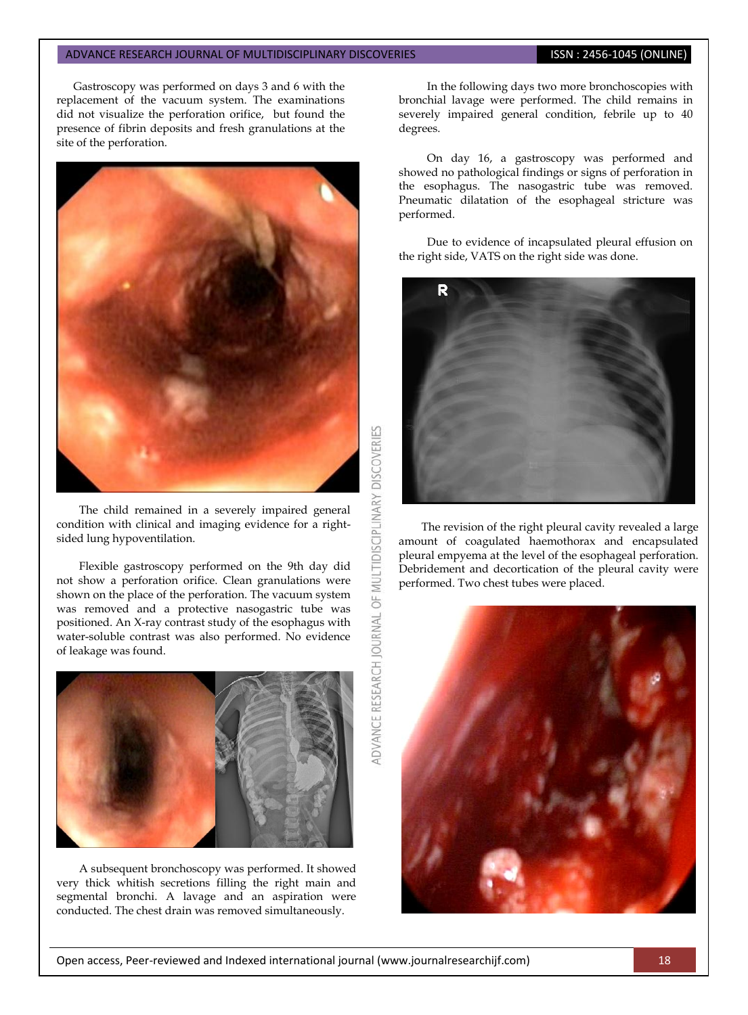#### ADVANCE RESEARCH JOURNAL OF MULTIDISCIPLINARY DISCOVERIES **ISSN : 2456-1045 (ONLINE)**

Gastroscopy was performed on days 3 and 6 with the replacement of the vacuum system. The examinations did not visualize the perforation orifice, but found the presence of fibrin deposits and fresh granulations at the site of the perforation.



The child remained in a severely impaired general condition with clinical and imaging evidence for a rightsided lung hypoventilation.

Flexible gastroscopy performed on the 9th day did not show a perforation orifice. Clean granulations were shown on the place of the perforation. The vacuum system was removed and a protective nasogastric tube was positioned. An X-ray contrast study of the esophagus with water-soluble contrast was also performed. No evidence of leakage was found.



A subsequent bronchoscopy was performed. It showed very thick whitish secretions filling the right main and segmental bronchi. A lavage and an aspiration were conducted. The chest drain was removed simultaneously.

In the following days two more bronchoscopies with bronchial lavage were performed. The child remains in severely impaired general condition, febrile up to 40 degrees.

On day 16, a gastroscopy was performed and showed no pathological findings or signs of perforation in the esophagus. The nasogastric tube was removed. Pneumatic dilatation of the esophageal stricture was performed.

Due to evidence of incapsulated pleural effusion on the right side, VATS on the right side was done.



The revision of the right pleural cavity revealed a large amount of coagulated haemothorax and encapsulated pleural empyema at the level of the esophageal perforation. Debridement and decortication of the pleural cavity were performed. Two chest tubes were placed.